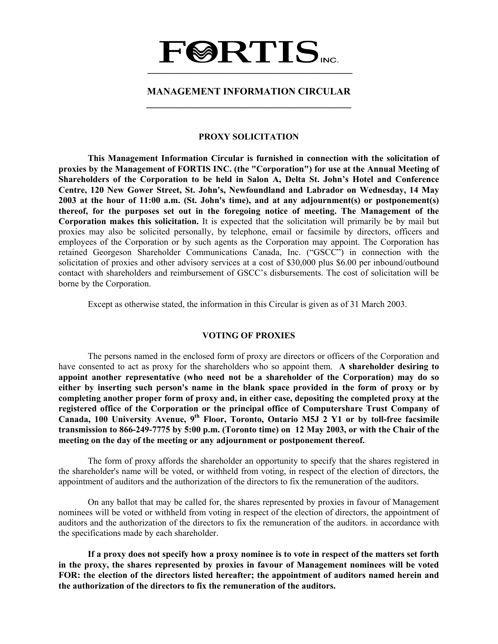# **FØRTIS \_\_\_\_\_\_\_\_\_\_\_\_\_\_\_\_\_\_\_\_\_\_\_\_\_\_\_\_\_\_\_\_\_\_\_\_\_\_\_\_\_\_**

### **MANAGEMENT INFORMATION CIRCULAR \_\_\_\_\_\_\_\_\_\_\_\_\_\_\_\_\_\_\_\_\_\_\_\_\_\_\_\_\_\_\_\_\_\_\_\_\_\_\_\_\_\_**

#### **PROXY SOLICITATION**

**This Management Information Circular is furnished in connection with the solicitation of proxies by the Management of FORTIS INC. (the "Corporation") for use at the Annual Meeting of Shareholders of the Corporation to be held in Salon A, Delta St. John's Hotel and Conference Centre, 120 New Gower Street, St. John's, Newfoundland and Labrador on Wednesday, 14 May 2003 at the hour of 11:00 a.m. (St. John's time), and at any adjournment(s) or postponement(s) thereof, for the purposes set out in the foregoing notice of meeting. The Management of the Corporation makes this solicitation.** It is expected that the solicitation will primarily be by mail but proxies may also be solicited personally, by telephone, email or facsimile by directors, officers and employees of the Corporation or by such agents as the Corporation may appoint. The Corporation has retained Georgeson Shareholder Communications Canada, Inc. ("GSCC") in connection with the solicitation of proxies and other advisory services at a cost of \$30,000 plus \$6.00 per inbound/outbound contact with shareholders and reimbursement of GSCC's disbursements. The cost of solicitation will be borne by the Corporation.

Except as otherwise stated, the information in this Circular is given as of 31 March 2003.

#### **VOTING OF PROXIES**

 The persons named in the enclosed form of proxy are directors or officers of the Corporation and have consented to act as proxy for the shareholders who so appoint them. **A shareholder desiring to appoint another representative (who need not be a shareholder of the Corporation) may do so either by inserting such person's name in the blank space provided in the form of proxy or by completing another proper form of proxy and, in either case, depositing the completed proxy at the registered office of the Corporation or the principal office of Computershare Trust Company of Canada, 100 University Avenue, 9th Floor, Toronto, Ontario M5J 2 Y1 or by toll-free facsimile transmission to 866-249-7775 by 5:00 p.m. (Toronto time) on 12 May 2003, or with the Chair of the meeting on the day of the meeting or any adjournment or postponement thereof.** 

 The form of proxy affords the shareholder an opportunity to specify that the shares registered in the shareholder's name will be voted, or withheld from voting, in respect of the election of directors, the appointment of auditors and the authorization of the directors to fix the remuneration of the auditors.

 On any ballot that may be called for, the shares represented by proxies in favour of Management nominees will be voted or withheld from voting in respect of the election of directors, the appointment of auditors and the authorization of the directors to fix the remuneration of the auditors. in accordance with the specifications made by each shareholder.

 **If a proxy does not specify how a proxy nominee is to vote in respect of the matters set forth in the proxy, the shares represented by proxies in favour of Management nominees will be voted FOR: the election of the directors listed hereafter; the appointment of auditors named herein and the authorization of the directors to fix the remuneration of the auditors.**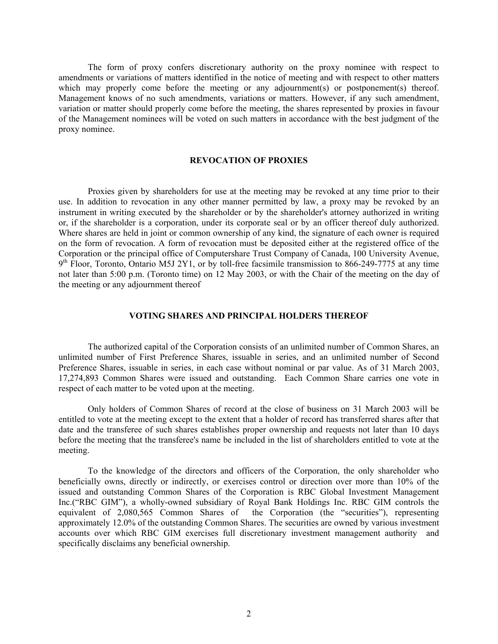The form of proxy confers discretionary authority on the proxy nominee with respect to amendments or variations of matters identified in the notice of meeting and with respect to other matters which may properly come before the meeting or any adjournment(s) or postponement(s) thereof. Management knows of no such amendments, variations or matters. However, if any such amendment, variation or matter should properly come before the meeting, the shares represented by proxies in favour of the Management nominees will be voted on such matters in accordance with the best judgment of the proxy nominee.

#### **REVOCATION OF PROXIES**

 Proxies given by shareholders for use at the meeting may be revoked at any time prior to their use. In addition to revocation in any other manner permitted by law, a proxy may be revoked by an instrument in writing executed by the shareholder or by the shareholder's attorney authorized in writing or, if the shareholder is a corporation, under its corporate seal or by an officer thereof duly authorized. Where shares are held in joint or common ownership of any kind, the signature of each owner is required on the form of revocation. A form of revocation must be deposited either at the registered office of the Corporation or the principal office of Computershare Trust Company of Canada, 100 University Avenue,  $9<sup>th</sup>$  Floor, Toronto, Ontario M5J 2Y1, or by toll-free facsimile transmission to 866-249-7775 at any time not later than 5:00 p.m. (Toronto time) on 12 May 2003, or with the Chair of the meeting on the day of the meeting or any adjournment thereof

#### **VOTING SHARES AND PRINCIPAL HOLDERS THEREOF**

 The authorized capital of the Corporation consists of an unlimited number of Common Shares, an unlimited number of First Preference Shares, issuable in series, and an unlimited number of Second Preference Shares, issuable in series, in each case without nominal or par value. As of 31 March 2003, 17,274,893 Common Shares were issued and outstanding. Each Common Share carries one vote in respect of each matter to be voted upon at the meeting.

 Only holders of Common Shares of record at the close of business on 31 March 2003 will be entitled to vote at the meeting except to the extent that a holder of record has transferred shares after that date and the transferee of such shares establishes proper ownership and requests not later than 10 days before the meeting that the transferee's name be included in the list of shareholders entitled to vote at the meeting.

 To the knowledge of the directors and officers of the Corporation, the only shareholder who beneficially owns, directly or indirectly, or exercises control or direction over more than 10% of the issued and outstanding Common Shares of the Corporation is RBC Global Investment Management Inc.("RBC GIM"), a wholly-owned subsidiary of Royal Bank Holdings Inc. RBC GIM controls the equivalent of 2,080,565 Common Shares of the Corporation (the "securities"), representing approximately 12.0% of the outstanding Common Shares. The securities are owned by various investment accounts over which RBC GIM exercises full discretionary investment management authority and specifically disclaims any beneficial ownership.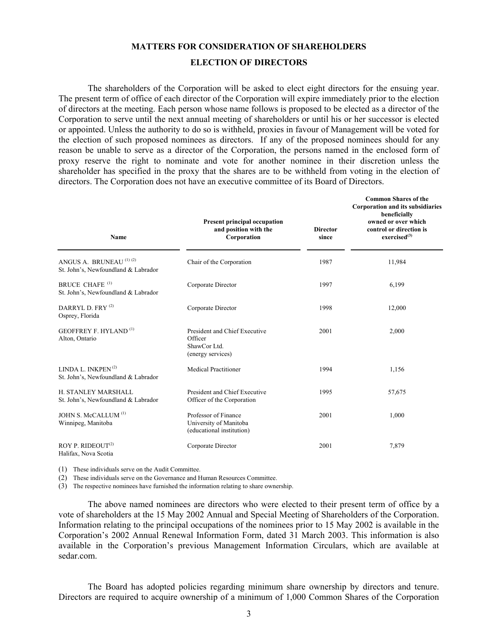#### **MATTERS FOR CONSIDERATION OF SHAREHOLDERS**

#### **ELECTION OF DIRECTORS**

 The shareholders of the Corporation will be asked to elect eight directors for the ensuing year. The present term of office of each director of the Corporation will expire immediately prior to the election of directors at the meeting. Each person whose name follows is proposed to be elected as a director of the Corporation to serve until the next annual meeting of shareholders or until his or her successor is elected or appointed. Unless the authority to do so is withheld, proxies in favour of Management will be voted for the election of such proposed nominees as directors. If any of the proposed nominees should for any reason be unable to serve as a director of the Corporation, the persons named in the enclosed form of proxy reserve the right to nominate and vote for another nominee in their discretion unless the shareholder has specified in the proxy that the shares are to be withheld from voting in the election of directors. The Corporation does not have an executive committee of its Board of Directors.

| Name                                                                      | <b>Present principal occupation</b><br>and position with the<br>Corporation   | <b>Director</b><br>since | <b>Common Shares of the</b><br><b>Corporation and its subsidiaries</b><br>beneficially<br>owned or over which<br>control or direction is<br>exercised <sup>(3)</sup> |
|---------------------------------------------------------------------------|-------------------------------------------------------------------------------|--------------------------|----------------------------------------------------------------------------------------------------------------------------------------------------------------------|
| ANGUS A. BRUNEAU <sup>(1)(2)</sup><br>St. John's, Newfoundland & Labrador | Chair of the Corporation                                                      | 1987                     | 11,984                                                                                                                                                               |
| BRUCE CHAFE <sup>(1)</sup><br>St. John's, Newfoundland & Labrador         | Corporate Director                                                            | 1997                     | 6,199                                                                                                                                                                |
| DARRYL D. FRY <sup>(2)</sup><br>Osprey, Florida                           | Corporate Director                                                            | 1998                     | 12,000                                                                                                                                                               |
| <b>GEOFFREY F. HYLAND</b> <sup>(1)</sup><br>Alton, Ontario                | President and Chief Executive<br>Officer<br>ShawCor Ltd.<br>(energy services) | 2001                     | 2,000                                                                                                                                                                |
| LINDA L. INKPEN $(2)$<br>St. John's, Newfoundland & Labrador              | <b>Medical Practitioner</b>                                                   | 1994                     | 1,156                                                                                                                                                                |
| H. STANLEY MARSHALL<br>St. John's, Newfoundland & Labrador                | President and Chief Executive<br>Officer of the Corporation                   | 1995                     | 57,675                                                                                                                                                               |
| JOHN S. McCALLUM <sup>(1)</sup><br>Winnipeg, Manitoba                     | Professor of Finance<br>University of Manitoba<br>(educational institution)   | 2001                     | 1,000                                                                                                                                                                |
| ROY P. RIDEOUT <sup>(2)</sup><br>Halifax, Nova Scotia                     | Corporate Director                                                            | 2001                     | 7,879                                                                                                                                                                |

(1) These individuals serve on the Audit Committee.

(2) These individuals serve on the Governance and Human Resources Committee.

(3) The respective nominees have furnished the information relating to share ownership.

 The above named nominees are directors who were elected to their present term of office by a vote of shareholders at the 15 May 2002 Annual and Special Meeting of Shareholders of the Corporation. Information relating to the principal occupations of the nominees prior to 15 May 2002 is available in the Corporation's 2002 Annual Renewal Information Form, dated 31 March 2003. This information is also available in the Corporation's previous Management Information Circulars, which are available at sedar.com.

 The Board has adopted policies regarding minimum share ownership by directors and tenure. Directors are required to acquire ownership of a minimum of 1,000 Common Shares of the Corporation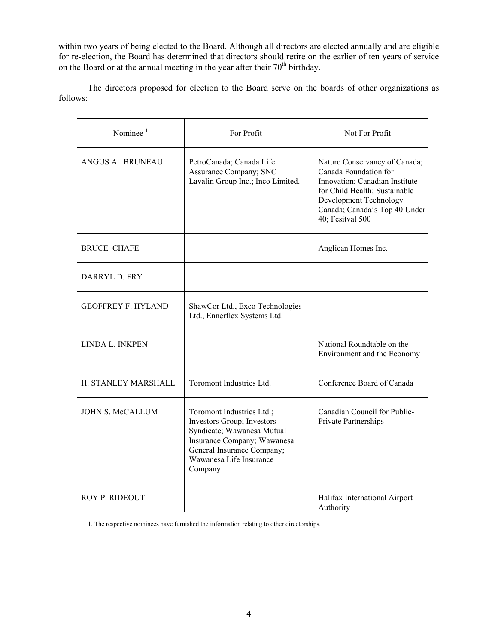within two years of being elected to the Board. Although all directors are elected annually and are eligible for re-election, the Board has determined that directors should retire on the earlier of ten years of service on the Board or at the annual meeting in the year after their  $70<sup>th</sup>$  birthday.

 The directors proposed for election to the Board serve on the boards of other organizations as follows:

| Nominee $1$               | For Profit                                                                                                                                                                               | Not For Profit                                                                                                                                                                                           |
|---------------------------|------------------------------------------------------------------------------------------------------------------------------------------------------------------------------------------|----------------------------------------------------------------------------------------------------------------------------------------------------------------------------------------------------------|
| ANGUS A. BRUNEAU          | PetroCanada; Canada Life<br>Assurance Company; SNC<br>Lavalin Group Inc.; Inco Limited.                                                                                                  | Nature Conservancy of Canada;<br>Canada Foundation for<br>Innovation; Canadian Institute<br>for Child Health; Sustainable<br>Development Technology<br>Canada; Canada's Top 40 Under<br>40; Fesitval 500 |
| <b>BRUCE CHAFE</b>        |                                                                                                                                                                                          | Anglican Homes Inc.                                                                                                                                                                                      |
| DARRYL D. FRY             |                                                                                                                                                                                          |                                                                                                                                                                                                          |
| <b>GEOFFREY F. HYLAND</b> | ShawCor Ltd., Exco Technologies<br>Ltd., Ennerflex Systems Ltd.                                                                                                                          |                                                                                                                                                                                                          |
| LINDA L. INKPEN           |                                                                                                                                                                                          | National Roundtable on the<br>Environment and the Economy                                                                                                                                                |
| H. STANLEY MARSHALL       | Toromont Industries Ltd.                                                                                                                                                                 | Conference Board of Canada                                                                                                                                                                               |
| <b>JOHN S. McCALLUM</b>   | Toromont Industries Ltd.;<br>Investors Group; Investors<br>Syndicate; Wawanesa Mutual<br>Insurance Company; Wawanesa<br>General Insurance Company;<br>Wawanesa Life Insurance<br>Company | Canadian Council for Public-<br>Private Partnerships                                                                                                                                                     |
| ROY P. RIDEOUT            |                                                                                                                                                                                          | Halifax International Airport<br>Authority                                                                                                                                                               |

1. The respective nominees have furnished the information relating to other directorships.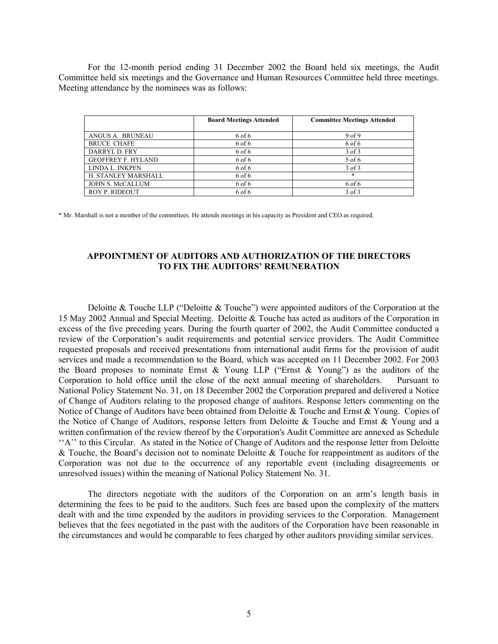For the 12-month period ending 31 December 2002 the Board held six meetings, the Audit Committee held six meetings and the Governance and Human Resources Committee held three meetings. Meeting attendance by the nominees was as follows:

|                           | <b>Board Meetings Attended</b> | <b>Committee Meetings Attended</b> |
|---------------------------|--------------------------------|------------------------------------|
| ANGUS A. BRUNEAU          | 6 of 6                         | 9 <sub>of</sub> 9                  |
| <b>BRUCE CHAFE</b>        | 6 of 6                         | 6 of 6                             |
| DARRYL D. FRY             | 6 of 6                         | 3 of 3                             |
| <b>GEOFFREY F. HYLAND</b> | 6 of 6                         | 5 of 6                             |
| LINDA L. INKPEN           | 6 of 6                         | $3$ of $3$                         |
| H. STANLEY MARSHALL       | 6 of 6                         | $\ast$                             |
| JOHN S. McCALLUM          | 6 of 6                         | 6 of 6                             |
| <b>ROY P. RIDEOUT</b>     | 6 of 6                         | $3$ of $3$                         |

\* Mr. Marshall is not a member of the committees. He attends meetings in his capacity as President and CEO as required.

#### **APPOINTMENT OF AUDITORS AND AUTHORIZATION OF THE DIRECTORS TO FIX THE AUDITORS' REMUNERATION**

 Deloitte & Touche LLP ("Deloitte & Touche") were appointed auditors of the Corporation at the 15 May 2002 Annual and Special Meeting. Deloitte & Touche has acted as auditors of the Corporation in excess of the five preceding years. During the fourth quarter of 2002, the Audit Committee conducted a review of the Corporation's audit requirements and potential service providers. The Audit Committee requested proposals and received presentations from international audit firms for the provision of audit services and made a recommendation to the Board, which was accepted on 11 December 2002. For 2003 the Board proposes to nominate Ernst & Young LLP ("Ernst & Young") as the auditors of the Corporation to hold office until the close of the next annual meeting of shareholders. Pursuant to National Policy Statement No. 31, on 18 December 2002 the Corporation prepared and delivered a Notice of Change of Auditors relating to the proposed change of auditors. Response letters commenting on the Notice of Change of Auditors have been obtained from Deloitte & Touche and Ernst & Young. Copies of the Notice of Change of Auditors, response letters from Deloitte & Touche and Ernst & Young and a written confirmation of the review thereof by the Corporation's Audit Committee are annexed as Schedule ''A'' to this Circular. As stated in the Notice of Change of Auditors and the response letter from Deloitte & Touche, the Board's decision not to nominate Deloitte & Touche for reappointment as auditors of the Corporation was not due to the occurrence of any reportable event (including disagreements or unresolved issues) within the meaning of National Policy Statement No. 31.

 The directors negotiate with the auditors of the Corporation on an arm's length basis in determining the fees to be paid to the auditors. Such fees are based upon the complexity of the matters dealt with and the time expended by the auditors in providing services to the Corporation. Management believes that the fees negotiated in the past with the auditors of the Corporation have been reasonable in the circumstances and would be comparable to fees charged by other auditors providing similar services.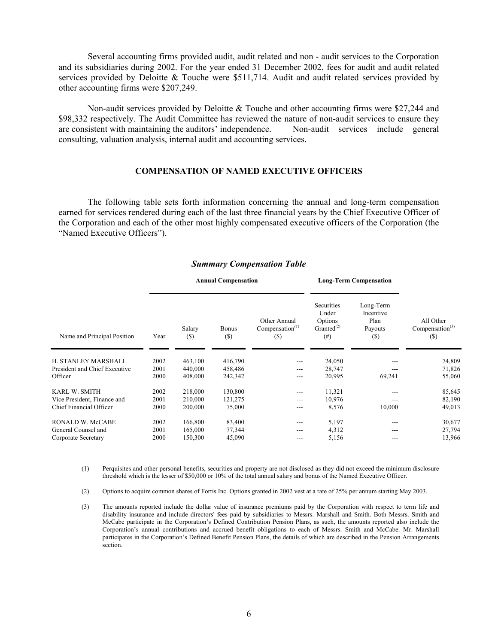Several accounting firms provided audit, audit related and non - audit services to the Corporation and its subsidiaries during 2002. For the year ended 31 December 2002, fees for audit and audit related services provided by Deloitte & Touche were \$511,714. Audit and audit related services provided by other accounting firms were \$207,249.

 Non-audit services provided by Deloitte & Touche and other accounting firms were \$27,244 and \$98,332 respectively. The Audit Committee has reviewed the nature of non-audit services to ensure they are consistent with maintaining the auditors' independence. Non-audit services include general consulting, valuation analysis, internal audit and accounting services.

#### **COMPENSATION OF NAMED EXECUTIVE OFFICERS**

 The following table sets forth information concerning the annual and long-term compensation earned for services rendered during each of the last three financial years by the Chief Executive Officer of the Corporation and each of the other most highly compensated executive officers of the Corporation (the "Named Executive Officers").

|                               |      | <b>Annual Compensation</b> |                     |                                           | <b>Long-Term Compensation</b>                                  |                                                  |                                                    |
|-------------------------------|------|----------------------------|---------------------|-------------------------------------------|----------------------------------------------------------------|--------------------------------------------------|----------------------------------------------------|
| Name and Principal Position   | Year | Salary<br>$(\$)$           | <b>Bonus</b><br>(S) | Other Annual<br>Compensation $(1)$<br>(S) | Securities<br>Under<br>Options<br>Granted $^{(2)}$<br>$^{(#)}$ | Long-Term<br>Incentive<br>Plan<br>Payouts<br>(S) | All Other<br>Compensation <sup>(3)</sup><br>$(\$)$ |
| H. STANLEY MARSHALL           | 2002 | 463,100                    | 416,790             | ---                                       | 24,050                                                         |                                                  | 74,809                                             |
| President and Chief Executive | 2001 | 440,000                    | 458,486             | ---                                       | 28,747                                                         |                                                  | 71,826                                             |
| Officer                       | 2000 | 408,000                    | 242,342             | ---                                       | 20,995                                                         | 69,241                                           | 55,060                                             |
| KARL W. SMITH                 | 2002 | 218,000                    | 130,800             | ---                                       | 11,321                                                         |                                                  | 85,645                                             |
| Vice President, Finance and   | 2001 | 210,000                    | 121,275             | ---                                       | 10,976                                                         |                                                  | 82,190                                             |
| Chief Financial Officer       | 2000 | 200,000                    | 75,000              | ---                                       | 8,576                                                          | 10,000                                           | 49,013                                             |
| RONALD W. McCABE              | 2002 | 166,800                    | 83,400              | ---                                       | 5,197                                                          | ---                                              | 30,677                                             |
| General Counsel and           | 2001 | 165,000                    | 77,344              | ---                                       | 4,312                                                          |                                                  | 27,794                                             |
| Corporate Secretary           | 2000 | 150,300                    | 45,090              |                                           | 5,156                                                          |                                                  | 13,966                                             |
|                               |      |                            |                     |                                           |                                                                |                                                  |                                                    |

#### *Summary Compensation Table*

- (1) Perquisites and other personal benefits, securities and property are not disclosed as they did not exceed the minimum disclosure threshold which is the lesser of \$50,000 or 10% of the total annual salary and bonus of the Named Executive Officer.
- (2) Options to acquire common shares of Fortis Inc. Options granted in 2002 vest at a rate of 25% per annum starting May 2003.
- (3) The amounts reported include the dollar value of insurance premiums paid by the Corporation with respect to term life and disability insurance and include directors' fees paid by subsidiaries to Messrs. Marshall and Smith. Both Messrs. Smith and McCabe participate in the Corporation's Defined Contribution Pension Plans, as such, the amounts reported also include the Corporation's annual contributions and accrued benefit obligations to each of Messrs. Smith and McCabe. Mr. Marshall participates in the Corporation's Defined Benefit Pension Plans, the details of which are described in the Pension Arrangements section.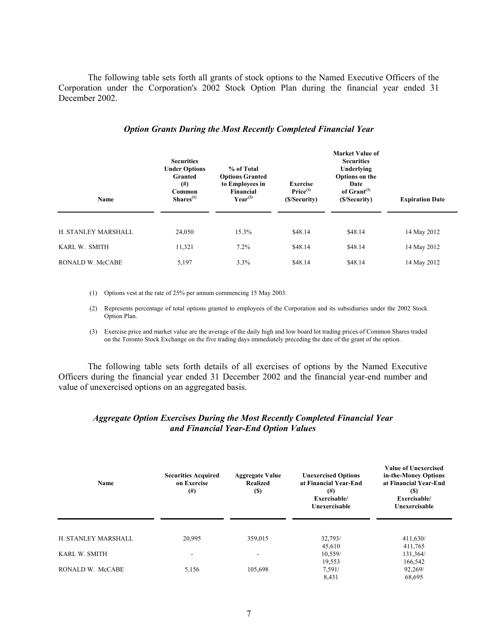The following table sets forth all grants of stock options to the Named Executive Officers of the Corporation under the Corporation's 2002 Stock Option Plan during the financial year ended 31 December 2002.

| Name                | <b>Securities</b><br><b>Under Options</b><br>Granted<br>$^{(#)}$<br>Common<br>$Shares^{(1)}$ | % of Total<br><b>Options Granted</b><br>to Employees in<br><b>Financial</b><br>$Year^{(2)}$ | <b>Exercise</b><br>Price <sup>(3)</sup><br>(\$/Security) | <b>Market Value of</b><br><b>Securities</b><br>Underlying<br>Options on the<br>Date<br>of $Gran(3)$<br>(\$/Security) | <b>Expiration Date</b> |
|---------------------|----------------------------------------------------------------------------------------------|---------------------------------------------------------------------------------------------|----------------------------------------------------------|----------------------------------------------------------------------------------------------------------------------|------------------------|
| H. STANLEY MARSHALL | 24,050                                                                                       | 15.3%                                                                                       | \$48.14                                                  | \$48.14                                                                                                              | 14 May 2012            |
| KARL W. SMITH       | 11,321                                                                                       | 7.2%                                                                                        | \$48.14                                                  | \$48.14                                                                                                              | 14 May 2012            |
| RONALD W. McCABE    | 5,197                                                                                        | 3.3%                                                                                        | \$48.14                                                  | \$48.14                                                                                                              | 14 May 2012            |

#### *Option Grants During the Most Recently Completed Financial Year*

(1) Options vest at the rate of 25% per annum commencing 15 May 2003.

(2) Represents percentage of total options granted to employees of the Corporation and its subsidiaries under the 2002 Stock Option Plan.

(3) Exercise price and market value are the average of the daily high and low board lot trading prices of Common Shares traded on the Toronto Stock Exchange on the five trading days immediately preceding the date of the grant of the option.

 The following table sets forth details of all exercises of options by the Named Executive Officers during the financial year ended 31 December 2002 and the financial year-end number and value of unexercised options on an aggregated basis.

#### *Aggregate Option Exercises During the Most Recently Completed Financial Year and Financial Year-End Option Values*

| Name                | <b>Securities Acquired</b><br>on Exercise<br>$^{(#)}$ | <b>Aggregate Value</b><br><b>Realized</b><br><b>(S)</b> | <b>Unexercised Options</b><br>at Financial Year-End<br>$^{(#)}$<br>Exercisable/<br>Unexercisable | <b>Value of Unexercised</b><br>in-the-Money Options<br>at Financial Year-End<br>(S)<br>Exercisable/<br>Unexercisable |
|---------------------|-------------------------------------------------------|---------------------------------------------------------|--------------------------------------------------------------------------------------------------|----------------------------------------------------------------------------------------------------------------------|
| H. STANLEY MARSHALL | 20,995                                                | 359,015                                                 | 32,793/                                                                                          | 411,630/                                                                                                             |
|                     |                                                       |                                                         | 45,610                                                                                           | 411,765                                                                                                              |
| KARL W. SMITH       |                                                       |                                                         | 10,559/                                                                                          | 131,364/                                                                                                             |
|                     |                                                       |                                                         | 19,553                                                                                           | 166,542                                                                                                              |
| RONALD W. McCABE    | 5,156                                                 | 105,698                                                 | 7,591/                                                                                           | 92,269/                                                                                                              |
|                     |                                                       |                                                         | 8,431                                                                                            | 68,695                                                                                                               |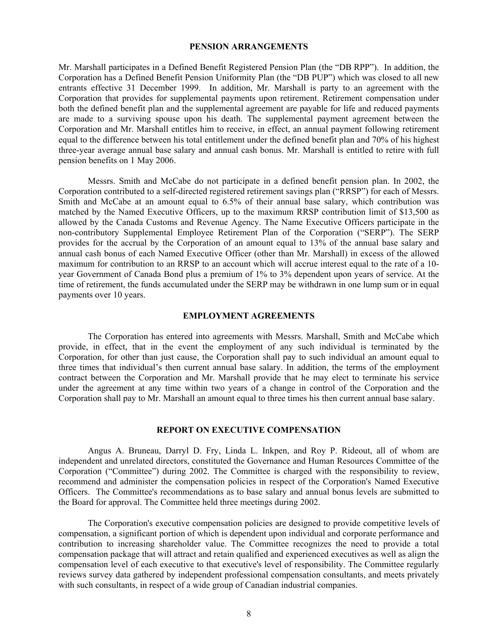#### **PENSION ARRANGEMENTS**

Mr. Marshall participates in a Defined Benefit Registered Pension Plan (the "DB RPP"). In addition, the Corporation has a Defined Benefit Pension Uniformity Plan (the "DB PUP") which was closed to all new entrants effective 31 December 1999. In addition, Mr. Marshall is party to an agreement with the Corporation that provides for supplemental payments upon retirement. Retirement compensation under both the defined benefit plan and the supplemental agreement are payable for life and reduced payments are made to a surviving spouse upon his death. The supplemental payment agreement between the Corporation and Mr. Marshall entitles him to receive, in effect, an annual payment following retirement equal to the difference between his total entitlement under the defined benefit plan and 70% of his highest three-year average annual base salary and annual cash bonus. Mr. Marshall is entitled to retire with full pension benefits on 1 May 2006.

 Messrs. Smith and McCabe do not participate in a defined benefit pension plan. In 2002, the Corporation contributed to a self-directed registered retirement savings plan ("RRSP") for each of Messrs. Smith and McCabe at an amount equal to 6.5% of their annual base salary, which contribution was matched by the Named Executive Officers, up to the maximum RRSP contribution limit of \$13,500 as allowed by the Canada Customs and Revenue Agency. The Name Executive Officers participate in the non-contributory Supplemental Employee Retirement Plan of the Corporation ("SERP"). The SERP provides for the accrual by the Corporation of an amount equal to 13% of the annual base salary and annual cash bonus of each Named Executive Officer (other than Mr. Marshall) in excess of the allowed maximum for contribution to an RRSP to an account which will accrue interest equal to the rate of a 10 year Government of Canada Bond plus a premium of 1% to 3% dependent upon years of service. At the time of retirement, the funds accumulated under the SERP may be withdrawn in one lump sum or in equal payments over 10 years.

#### **EMPLOYMENT AGREEMENTS**

 The Corporation has entered into agreements with Messrs. Marshall, Smith and McCabe which provide, in effect, that in the event the employment of any such individual is terminated by the Corporation, for other than just cause, the Corporation shall pay to such individual an amount equal to three times that individual's then current annual base salary. In addition, the terms of the employment contract between the Corporation and Mr. Marshall provide that he may elect to terminate his service under the agreement at any time within two years of a change in control of the Corporation and the Corporation shall pay to Mr. Marshall an amount equal to three times his then current annual base salary.

#### **REPORT ON EXECUTIVE COMPENSATION**

 Angus A. Bruneau, Darryl D. Fry, Linda L. Inkpen, and Roy P. Rideout, all of whom are independent and unrelated directors, constituted the Governance and Human Resources Committee of the Corporation ("Committee") during 2002. The Committee is charged with the responsibility to review, recommend and administer the compensation policies in respect of the Corporation's Named Executive Officers. The Committee's recommendations as to base salary and annual bonus levels are submitted to the Board for approval. The Committee held three meetings during 2002.

 The Corporation's executive compensation policies are designed to provide competitive levels of compensation, a significant portion of which is dependent upon individual and corporate performance and contribution to increasing shareholder value. The Committee recognizes the need to provide a total compensation package that will attract and retain qualified and experienced executives as well as align the compensation level of each executive to that executive's level of responsibility. The Committee regularly reviews survey data gathered by independent professional compensation consultants, and meets privately with such consultants, in respect of a wide group of Canadian industrial companies.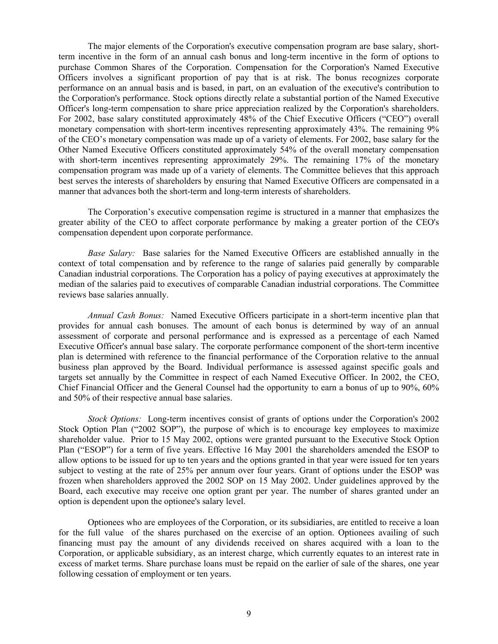The major elements of the Corporation's executive compensation program are base salary, shortterm incentive in the form of an annual cash bonus and long-term incentive in the form of options to purchase Common Shares of the Corporation. Compensation for the Corporation's Named Executive Officers involves a significant proportion of pay that is at risk. The bonus recognizes corporate performance on an annual basis and is based, in part, on an evaluation of the executive's contribution to the Corporation's performance. Stock options directly relate a substantial portion of the Named Executive Officer's long-term compensation to share price appreciation realized by the Corporation's shareholders. For 2002, base salary constituted approximately 48% of the Chief Executive Officers ("CEO") overall monetary compensation with short-term incentives representing approximately 43%. The remaining 9% of the CEO's monetary compensation was made up of a variety of elements. For 2002, base salary for the Other Named Executive Officers constituted approximately 54% of the overall monetary compensation with short-term incentives representing approximately 29%. The remaining 17% of the monetary compensation program was made up of a variety of elements. The Committee believes that this approach best serves the interests of shareholders by ensuring that Named Executive Officers are compensated in a manner that advances both the short-term and long-term interests of shareholders.

The Corporation's executive compensation regime is structured in a manner that emphasizes the greater ability of the CEO to affect corporate performance by making a greater portion of the CEO's compensation dependent upon corporate performance.

*Base Salary:* Base salaries for the Named Executive Officers are established annually in the context of total compensation and by reference to the range of salaries paid generally by comparable Canadian industrial corporations. The Corporation has a policy of paying executives at approximately the median of the salaries paid to executives of comparable Canadian industrial corporations. The Committee reviews base salaries annually.

*Annual Cash Bonus:* Named Executive Officers participate in a short-term incentive plan that provides for annual cash bonuses. The amount of each bonus is determined by way of an annual assessment of corporate and personal performance and is expressed as a percentage of each Named Executive Officer's annual base salary. The corporate performance component of the short-term incentive plan is determined with reference to the financial performance of the Corporation relative to the annual business plan approved by the Board. Individual performance is assessed against specific goals and targets set annually by the Committee in respect of each Named Executive Officer. In 2002, the CEO, Chief Financial Officer and the General Counsel had the opportunity to earn a bonus of up to 90%, 60% and 50% of their respective annual base salaries.

*Stock Options:* Long-term incentives consist of grants of options under the Corporation's 2002 Stock Option Plan ("2002 SOP"), the purpose of which is to encourage key employees to maximize shareholder value. Prior to 15 May 2002, options were granted pursuant to the Executive Stock Option Plan ("ESOP") for a term of five years. Effective 16 May 2001 the shareholders amended the ESOP to allow options to be issued for up to ten years and the options granted in that year were issued for ten years subject to vesting at the rate of 25% per annum over four years. Grant of options under the ESOP was frozen when shareholders approved the 2002 SOP on 15 May 2002. Under guidelines approved by the Board, each executive may receive one option grant per year. The number of shares granted under an option is dependent upon the optionee's salary level.

Optionees who are employees of the Corporation, or its subsidiaries, are entitled to receive a loan for the full value of the shares purchased on the exercise of an option. Optionees availing of such financing must pay the amount of any dividends received on shares acquired with a loan to the Corporation, or applicable subsidiary, as an interest charge, which currently equates to an interest rate in excess of market terms. Share purchase loans must be repaid on the earlier of sale of the shares, one year following cessation of employment or ten years.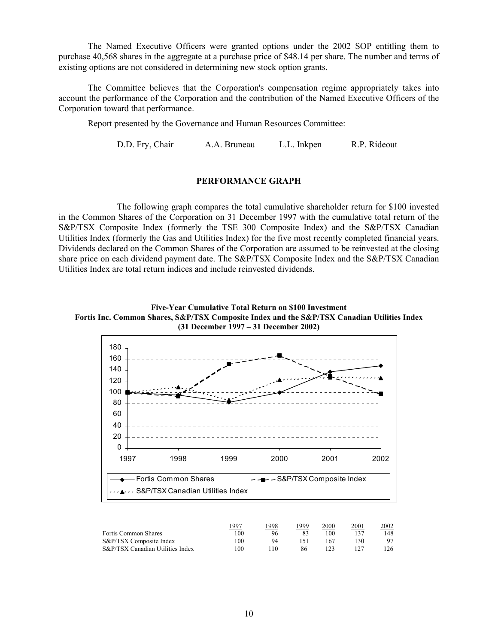The Named Executive Officers were granted options under the 2002 SOP entitling them to purchase 40,568 shares in the aggregate at a purchase price of \$48.14 per share. The number and terms of existing options are not considered in determining new stock option grants.

 The Committee believes that the Corporation's compensation regime appropriately takes into account the performance of the Corporation and the contribution of the Named Executive Officers of the Corporation toward that performance.

Report presented by the Governance and Human Resources Committee:

D.D. Fry, Chair A.A. Bruneau L.L. Inkpen R.P. Rideout

#### **PERFORMANCE GRAPH**

 The following graph compares the total cumulative shareholder return for \$100 invested in the Common Shares of the Corporation on 31 December 1997 with the cumulative total return of the S&P/TSX Composite Index (formerly the TSE 300 Composite Index) and the S&P/TSX Canadian Utilities Index (formerly the Gas and Utilities Index) for the five most recently completed financial years. Dividends declared on the Common Shares of the Corporation are assumed to be reinvested at the closing share price on each dividend payment date. The S&P/TSX Composite Index and the S&P/TSX Canadian Utilities Index are total return indices and include reinvested dividends.

**Five-Year Cumulative Total Return on \$100 Investment Fortis Inc. Common Shares, S&P/TSX Composite Index and the S&P/TSX Canadian Utilities Index (31 December 1997 – 31 December 2002)**



|                                  | 199 <sup>7</sup> | 1998 | 1999 | 2000 | 2001 | 2002 |
|----------------------------------|------------------|------|------|------|------|------|
| <b>Fortis Common Shares</b>      | 100              | 96   |      | 100  |      | 148  |
| S&P/TSX Composite Index          | 100              | 94   |      | 167  | 30   | 97   |
| S&P/TSX Canadian Utilities Index | 100              | 110  | 86   |      |      | 126  |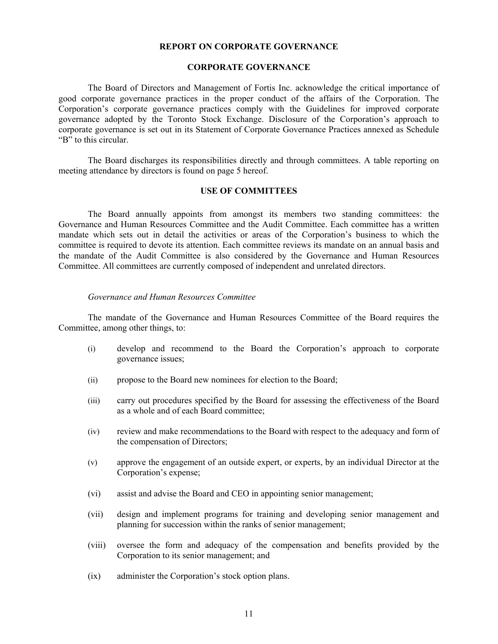#### **REPORT ON CORPORATE GOVERNANCE**

#### **CORPORATE GOVERNANCE**

The Board of Directors and Management of Fortis Inc. acknowledge the critical importance of good corporate governance practices in the proper conduct of the affairs of the Corporation. The Corporation's corporate governance practices comply with the Guidelines for improved corporate governance adopted by the Toronto Stock Exchange. Disclosure of the Corporation's approach to corporate governance is set out in its Statement of Corporate Governance Practices annexed as Schedule "B" to this circular.

The Board discharges its responsibilities directly and through committees. A table reporting on meeting attendance by directors is found on page 5 hereof.

#### **USE OF COMMITTEES**

 The Board annually appoints from amongst its members two standing committees: the Governance and Human Resources Committee and the Audit Committee. Each committee has a written mandate which sets out in detail the activities or areas of the Corporation's business to which the committee is required to devote its attention. Each committee reviews its mandate on an annual basis and the mandate of the Audit Committee is also considered by the Governance and Human Resources Committee. All committees are currently composed of independent and unrelated directors.

#### *Governance and Human Resources Committee*

The mandate of the Governance and Human Resources Committee of the Board requires the Committee, among other things, to:

- (i) develop and recommend to the Board the Corporation's approach to corporate governance issues;
- (ii) propose to the Board new nominees for election to the Board;
- (iii) carry out procedures specified by the Board for assessing the effectiveness of the Board as a whole and of each Board committee;
- (iv) review and make recommendations to the Board with respect to the adequacy and form of the compensation of Directors;
- (v) approve the engagement of an outside expert, or experts, by an individual Director at the Corporation's expense;
- (vi) assist and advise the Board and CEO in appointing senior management;
- (vii) design and implement programs for training and developing senior management and planning for succession within the ranks of senior management;
- (viii) oversee the form and adequacy of the compensation and benefits provided by the Corporation to its senior management; and
- (ix) administer the Corporation's stock option plans.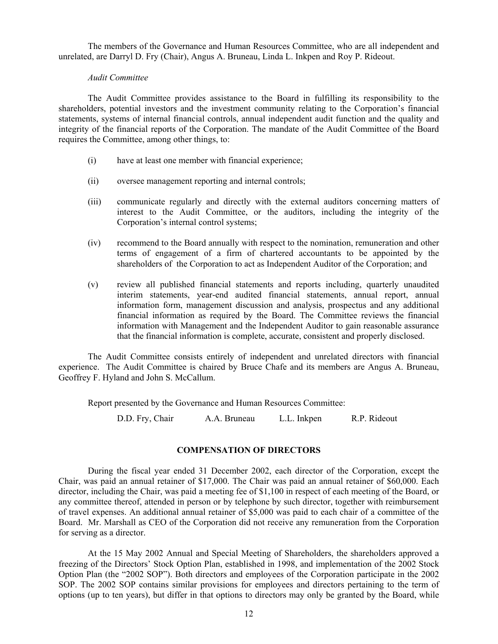The members of the Governance and Human Resources Committee, who are all independent and unrelated, are Darryl D. Fry (Chair), Angus A. Bruneau, Linda L. Inkpen and Roy P. Rideout.

#### *Audit Committee*

The Audit Committee provides assistance to the Board in fulfilling its responsibility to the shareholders, potential investors and the investment community relating to the Corporation's financial statements, systems of internal financial controls, annual independent audit function and the quality and integrity of the financial reports of the Corporation. The mandate of the Audit Committee of the Board requires the Committee, among other things, to:

- (i) have at least one member with financial experience;
- (ii) oversee management reporting and internal controls;
- (iii) communicate regularly and directly with the external auditors concerning matters of interest to the Audit Committee, or the auditors, including the integrity of the Corporation's internal control systems;
- (iv) recommend to the Board annually with respect to the nomination, remuneration and other terms of engagement of a firm of chartered accountants to be appointed by the shareholders of the Corporation to act as Independent Auditor of the Corporation; and
- (v) review all published financial statements and reports including, quarterly unaudited interim statements, year-end audited financial statements, annual report, annual information form, management discussion and analysis, prospectus and any additional financial information as required by the Board. The Committee reviews the financial information with Management and the Independent Auditor to gain reasonable assurance that the financial information is complete, accurate, consistent and properly disclosed.

The Audit Committee consists entirely of independent and unrelated directors with financial experience. The Audit Committee is chaired by Bruce Chafe and its members are Angus A. Bruneau, Geoffrey F. Hyland and John S. McCallum.

Report presented by the Governance and Human Resources Committee:

D.D. Fry, Chair A.A. Bruneau L.L. Inkpen R.P. Rideout

#### **COMPENSATION OF DIRECTORS**

 During the fiscal year ended 31 December 2002, each director of the Corporation, except the Chair, was paid an annual retainer of \$17,000. The Chair was paid an annual retainer of \$60,000. Each director, including the Chair, was paid a meeting fee of \$1,100 in respect of each meeting of the Board, or any committee thereof, attended in person or by telephone by such director, together with reimbursement of travel expenses. An additional annual retainer of \$5,000 was paid to each chair of a committee of the Board. Mr. Marshall as CEO of the Corporation did not receive any remuneration from the Corporation for serving as a director.

At the 15 May 2002 Annual and Special Meeting of Shareholders, the shareholders approved a freezing of the Directors' Stock Option Plan, established in 1998, and implementation of the 2002 Stock Option Plan (the "2002 SOP"). Both directors and employees of the Corporation participate in the 2002 SOP. The 2002 SOP contains similar provisions for employees and directors pertaining to the term of options (up to ten years), but differ in that options to directors may only be granted by the Board, while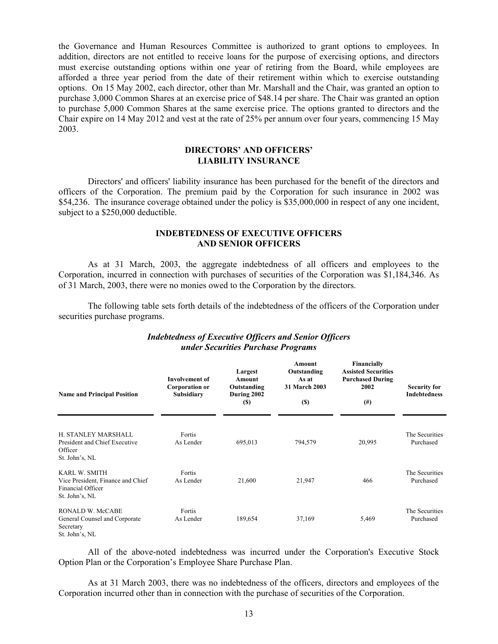the Governance and Human Resources Committee is authorized to grant options to employees. In addition, directors are not entitled to receive loans for the purpose of exercising options, and directors must exercise outstanding options within one year of retiring from the Board, while employees are afforded a three year period from the date of their retirement within which to exercise outstanding options. On 15 May 2002, each director, other than Mr. Marshall and the Chair, was granted an option to purchase 3,000 Common Shares at an exercise price of \$48.14 per share. The Chair was granted an option to purchase 5,000 Common Shares at the same exercise price. The options granted to directors and the Chair expire on 14 May 2012 and vest at the rate of 25% per annum over four years, commencing 15 May 2003.

#### **DIRECTORS' AND OFFICERS' LIABILITY INSURANCE**

Directors' and officers' liability insurance has been purchased for the benefit of the directors and officers of the Corporation. The premium paid by the Corporation for such insurance in 2002 was \$54,236. The insurance coverage obtained under the policy is \$35,000,000 in respect of any one incident, subject to a \$250,000 deductible.

#### **INDEBTEDNESS OF EXECUTIVE OFFICERS AND SENIOR OFFICERS**

 As at 31 March, 2003, the aggregate indebtedness of all officers and employees to the Corporation, incurred in connection with purchases of securities of the Corporation was \$1,184,346. As of 31 March, 2003, there were no monies owed to the Corporation by the directors.

 The following table sets forth details of the indebtedness of the officers of the Corporation under securities purchase programs.

| <b>Name and Principal Position</b>                                                               | <b>Involvement of</b><br><b>Corporation or</b><br>Subsidiary | Largest<br>Amount<br>Outstanding<br>During 2002<br><b>(\$)</b> | Amount<br>Outstanding<br>As at<br>31 March 2003<br>(S) | <b>Financially</b><br><b>Assisted Securities</b><br><b>Purchased During</b><br>2002<br>$^{(#)}$ | <b>Security for</b><br>Indebtedness |
|--------------------------------------------------------------------------------------------------|--------------------------------------------------------------|----------------------------------------------------------------|--------------------------------------------------------|-------------------------------------------------------------------------------------------------|-------------------------------------|
| H. STANLEY MARSHALL<br>President and Chief Executive<br>Officer<br>St. John's, NL                | Fortis<br>As Lender                                          | 695,013                                                        | 794,579                                                | 20,995                                                                                          | The Securities<br>Purchased         |
| <b>KARL W. SMITH</b><br>Vice President, Finance and Chief<br>Financial Officer<br>St. John's, NL | Fortis<br>As Lender                                          | 21,600                                                         | 21,947                                                 | 466                                                                                             | The Securities<br>Purchased         |
| RONALD W. McCABE<br>General Counsel and Corporate<br>Secretary<br>St. John's, NL                 | Fortis<br>As Lender                                          | 189,654                                                        | 37,169                                                 | 5,469                                                                                           | The Securities<br>Purchased         |

#### *Indebtedness of Executive Officers and Senior Officers under Securities Purchase Programs*

All of the above-noted indebtedness was incurred under the Corporation's Executive Stock Option Plan or the Corporation's Employee Share Purchase Plan.

 As at 31 March 2003, there was no indebtedness of the officers, directors and employees of the Corporation incurred other than in connection with the purchase of securities of the Corporation.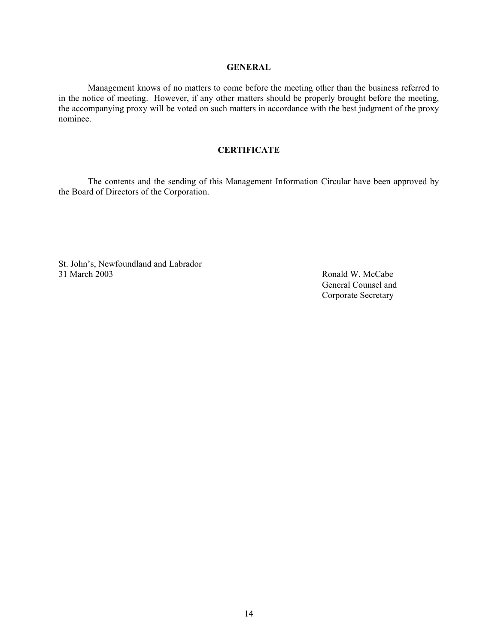#### **GENERAL**

 Management knows of no matters to come before the meeting other than the business referred to in the notice of meeting. However, if any other matters should be properly brought before the meeting, the accompanying proxy will be voted on such matters in accordance with the best judgment of the proxy nominee.

#### **CERTIFICATE**

The contents and the sending of this Management Information Circular have been approved by the Board of Directors of the Corporation.

St. John's, Newfoundland and Labrador 31 March 2003 Ronald W. McCabe

 General Counsel and Corporate Secretary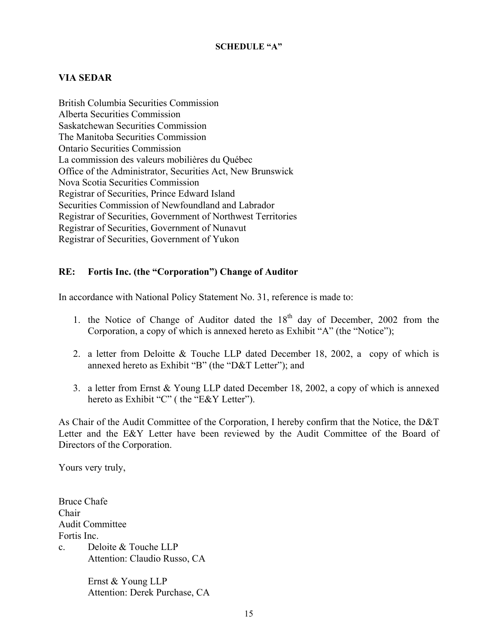## **VIA SEDAR**

British Columbia Securities Commission Alberta Securities Commission Saskatchewan Securities Commission The Manitoba Securities Commission Ontario Securities Commission La commission des valeurs mobilières du Québec Office of the Administrator, Securities Act, New Brunswick Nova Scotia Securities Commission Registrar of Securities, Prince Edward Island Securities Commission of Newfoundland and Labrador Registrar of Securities, Government of Northwest Territories Registrar of Securities, Government of Nunavut Registrar of Securities, Government of Yukon

## **RE: Fortis Inc. (the "Corporation") Change of Auditor**

In accordance with National Policy Statement No. 31, reference is made to:

- 1. the Notice of Change of Auditor dated the  $18<sup>th</sup>$  day of December, 2002 from the Corporation, a copy of which is annexed hereto as Exhibit "A" (the "Notice");
- 2. a letter from Deloitte & Touche LLP dated December 18, 2002, a copy of which is annexed hereto as Exhibit "B" (the "D&T Letter"); and
- 3. a letter from Ernst & Young LLP dated December 18, 2002, a copy of which is annexed hereto as Exhibit "C" ( the "E&Y Letter").

As Chair of the Audit Committee of the Corporation, I hereby confirm that the Notice, the D&T Letter and the E&Y Letter have been reviewed by the Audit Committee of the Board of Directors of the Corporation.

Yours very truly,

Bruce Chafe Chair Audit Committee Fortis Inc. c. Deloite & Touche LLP Attention: Claudio Russo, CA

> Ernst & Young LLP Attention: Derek Purchase, CA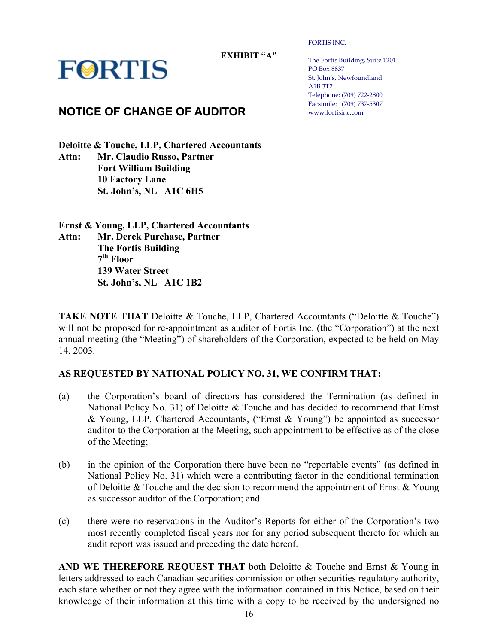**EXHIBIT "A"** 

**FORTIS** 

# **NOTICE OF CHANGE OF AUDITOR**

**Deloitte & Touche, LLP, Chartered Accountants Attn: Mr. Claudio Russo, Partner Fort William Building 10 Factory Lane St. John's, NL A1C 6H5** 

**Ernst & Young, LLP, Chartered Accountants Attn: Mr. Derek Purchase, Partner The Fortis Building 7th Floor 139 Water Street St. John's, NL A1C 1B2** 

**TAKE NOTE THAT** Deloitte & Touche, LLP, Chartered Accountants ("Deloitte & Touche") will not be proposed for re-appointment as auditor of Fortis Inc. (the "Corporation") at the next annual meeting (the "Meeting") of shareholders of the Corporation, expected to be held on May 14, 2003.

# **AS REQUESTED BY NATIONAL POLICY NO. 31, WE CONFIRM THAT:**

- (a) the Corporation's board of directors has considered the Termination (as defined in National Policy No. 31) of Deloitte & Touche and has decided to recommend that Ernst & Young, LLP, Chartered Accountants, ("Ernst & Young") be appointed as successor auditor to the Corporation at the Meeting, such appointment to be effective as of the close of the Meeting;
- (b) in the opinion of the Corporation there have been no "reportable events" (as defined in National Policy No. 31) which were a contributing factor in the conditional termination of Deloitte  $&$  Touche and the decision to recommend the appointment of Ernst  $&$  Young as successor auditor of the Corporation; and
- (c) there were no reservations in the Auditor's Reports for either of the Corporation's two most recently completed fiscal years nor for any period subsequent thereto for which an audit report was issued and preceding the date hereof.

**AND WE THEREFORE REQUEST THAT** both Deloitte & Touche and Ernst & Young in letters addressed to each Canadian securities commission or other securities regulatory authority, each state whether or not they agree with the information contained in this Notice, based on their knowledge of their information at this time with a copy to be received by the undersigned no

FORTIS INC.

The Fortis Building, Suite 1201 PO Box 8837 St. John's, Newfoundland A1B 3T2 Telephone: (709) 722-2800 Facsimile: (709) 737-5307 www.fortisinc.com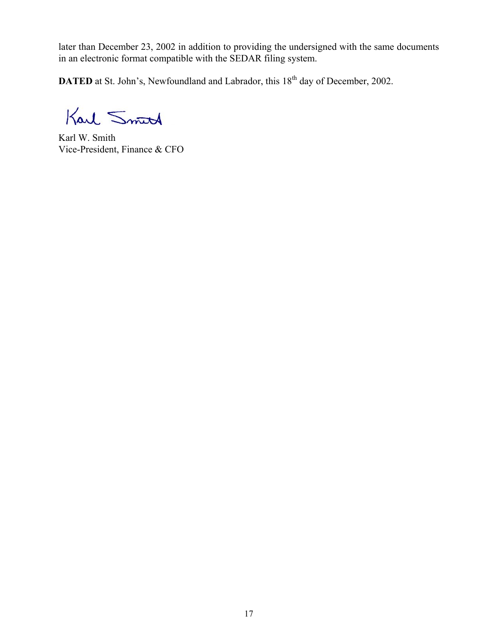later than December 23, 2002 in addition to providing the undersigned with the same documents in an electronic format compatible with the SEDAR filing system.

**DATED** at St. John's, Newfoundland and Labrador, this 18<sup>th</sup> day of December, 2002.

Karl Smith

Karl W. Smith Vice-President, Finance & CFO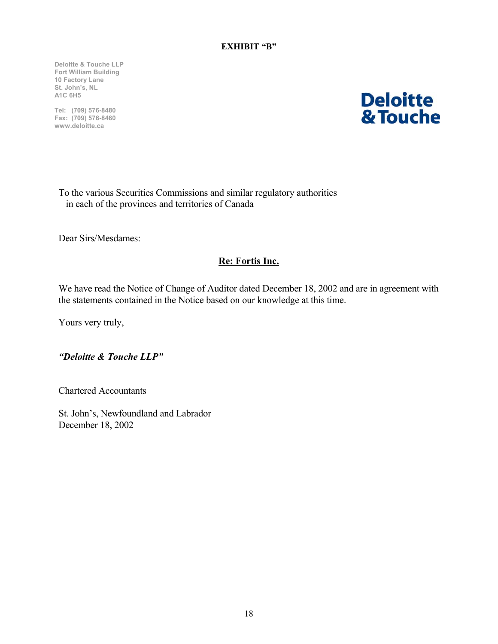**Deloitte & Touche LLP Fort William Building 10 Factory Lane St. John's, NL A1C 6H5** 

**Tel: (709) 576-8480 Fax: (709) 576-8460 www.deloitte.ca** 

# **Deloitte** & Touche

To the various Securities Commissions and similar regulatory authorities in each of the provinces and territories of Canada

Dear Sirs/Mesdames:

# **Re: Fortis Inc.**

We have read the Notice of Change of Auditor dated December 18, 2002 and are in agreement with the statements contained in the Notice based on our knowledge at this time.

Yours very truly,

*"Deloitte & Touche LLP"* 

Chartered Accountants

St. John's, Newfoundland and Labrador December 18, 2002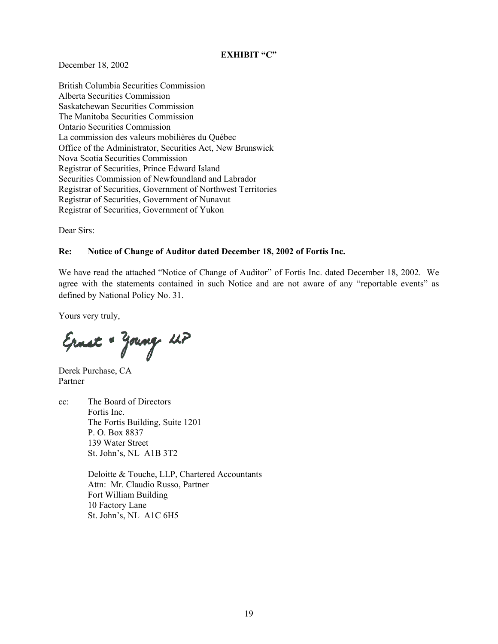#### **EXHIBIT "C"**

December 18, 2002

British Columbia Securities Commission Alberta Securities Commission Saskatchewan Securities Commission The Manitoba Securities Commission Ontario Securities Commission La commission des valeurs mobilières du Québec Office of the Administrator, Securities Act, New Brunswick Nova Scotia Securities Commission Registrar of Securities, Prince Edward Island Securities Commission of Newfoundland and Labrador Registrar of Securities, Government of Northwest Territories Registrar of Securities, Government of Nunavut Registrar of Securities, Government of Yukon

Dear Sirs:

#### **Re: Notice of Change of Auditor dated December 18, 2002 of Fortis Inc.**

We have read the attached "Notice of Change of Auditor" of Fortis Inc. dated December 18, 2002. We agree with the statements contained in such Notice and are not aware of any "reportable events" as defined by National Policy No. 31.

Yours very truly,

Ernst + Young UP

Derek Purchase, CA Partner

cc: The Board of Directors Fortis Inc. The Fortis Building, Suite 1201 P. O. Box 8837 139 Water Street St. John's, NL A1B 3T2

> Deloitte & Touche, LLP, Chartered Accountants Attn: Mr. Claudio Russo, Partner Fort William Building 10 Factory Lane St. John's, NL A1C 6H5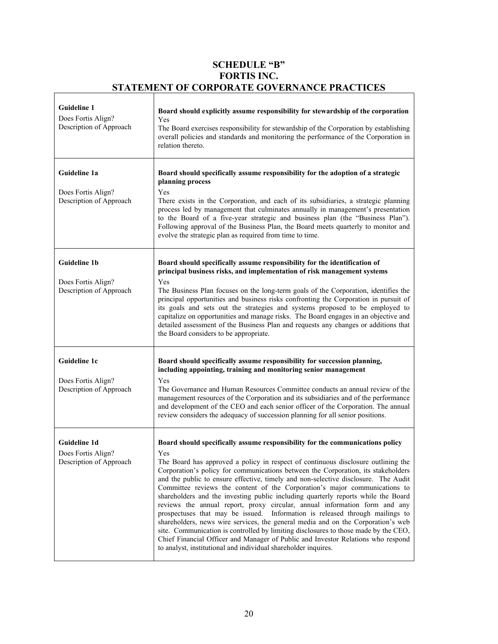# **SCHEDULE "B" FORTIS INC. STATEMENT OF CORPORATE GOVERNANCE PRACTICES**

r

| <b>Guideline 1</b><br>Does Fortis Align?<br>Description of Approach  | Board should explicitly assume responsibility for stewardship of the corporation<br>Yes<br>The Board exercises responsibility for stewardship of the Corporation by establishing<br>overall policies and standards and monitoring the performance of the Corporation in<br>relation thereto.                                                                                                                                                                                                                                                                                                                                                                                                                                                                                                                                                                                                                                                                                                                           |
|----------------------------------------------------------------------|------------------------------------------------------------------------------------------------------------------------------------------------------------------------------------------------------------------------------------------------------------------------------------------------------------------------------------------------------------------------------------------------------------------------------------------------------------------------------------------------------------------------------------------------------------------------------------------------------------------------------------------------------------------------------------------------------------------------------------------------------------------------------------------------------------------------------------------------------------------------------------------------------------------------------------------------------------------------------------------------------------------------|
| Guideline 1a<br>Does Fortis Align?<br>Description of Approach        | Board should specifically assume responsibility for the adoption of a strategic<br>planning process<br>Yes<br>There exists in the Corporation, and each of its subsidiaries, a strategic planning<br>process led by management that culminates annually in management's presentation<br>to the Board of a five-year strategic and business plan (the "Business Plan").<br>Following approval of the Business Plan, the Board meets quarterly to monitor and<br>evolve the strategic plan as required from time to time.                                                                                                                                                                                                                                                                                                                                                                                                                                                                                                |
| <b>Guideline 1b</b><br>Does Fortis Align?<br>Description of Approach | Board should specifically assume responsibility for the identification of<br>principal business risks, and implementation of risk management systems<br>Yes<br>The Business Plan focuses on the long-term goals of the Corporation, identifies the<br>principal opportunities and business risks confronting the Corporation in pursuit of<br>its goals and sets out the strategies and systems proposed to be employed to<br>capitalize on opportunities and manage risks. The Board engages in an objective and<br>detailed assessment of the Business Plan and requests any changes or additions that<br>the Board considers to be appropriate.                                                                                                                                                                                                                                                                                                                                                                     |
| Guideline 1c<br>Does Fortis Align?<br>Description of Approach        | Board should specifically assume responsibility for succession planning,<br>including appointing, training and monitoring senior management<br>Yes<br>The Governance and Human Resources Committee conducts an annual review of the<br>management resources of the Corporation and its subsidiaries and of the performance<br>and development of the CEO and each senior officer of the Corporation. The annual<br>review considers the adequacy of succession planning for all senior positions.                                                                                                                                                                                                                                                                                                                                                                                                                                                                                                                      |
| <b>Guideline 1d</b><br>Does Fortis Align?<br>Description of Approach | Board should specifically assume responsibility for the communications policy<br>Yes<br>The Board has approved a policy in respect of continuous disclosure outlining the<br>Corporation's policy for communications between the Corporation, its stakeholders<br>and the public to ensure effective, timely and non-selective disclosure. The Audit<br>Committee reviews the content of the Corporation's major communications to<br>shareholders and the investing public including quarterly reports while the Board<br>reviews the annual report, proxy circular, annual information form and any<br>prospectuses that may be issued. Information is released through mailings to<br>shareholders, news wire services, the general media and on the Corporation's web<br>site. Communication is controlled by limiting disclosures to those made by the CEO,<br>Chief Financial Officer and Manager of Public and Investor Relations who respond<br>to analyst, institutional and individual shareholder inquires. |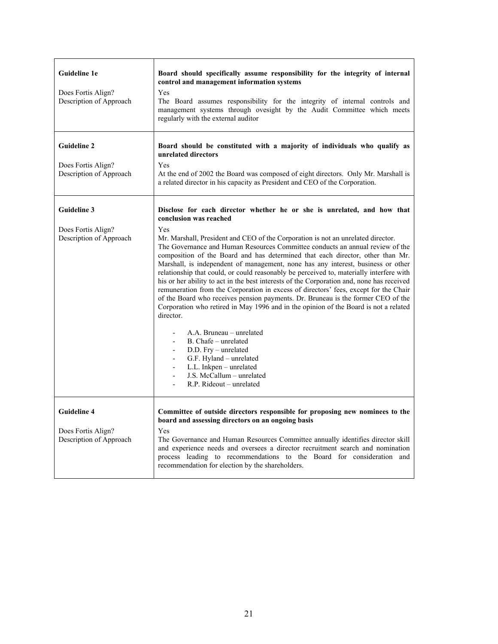| Guideline 1e<br>Does Fortis Align?<br>Description of Approach       | Board should specifically assume responsibility for the integrity of internal<br>control and management information systems<br>Yes<br>The Board assumes responsibility for the integrity of internal controls and<br>management systems through ovesight by the Audit Committee which meets<br>regularly with the external auditor                                                                                                                                                                                                                                                                                                                                                                                                                                                                                                                                                                                                                                                                                                                                                                                                                                                                                                   |
|---------------------------------------------------------------------|--------------------------------------------------------------------------------------------------------------------------------------------------------------------------------------------------------------------------------------------------------------------------------------------------------------------------------------------------------------------------------------------------------------------------------------------------------------------------------------------------------------------------------------------------------------------------------------------------------------------------------------------------------------------------------------------------------------------------------------------------------------------------------------------------------------------------------------------------------------------------------------------------------------------------------------------------------------------------------------------------------------------------------------------------------------------------------------------------------------------------------------------------------------------------------------------------------------------------------------|
| <b>Guideline 2</b><br>Does Fortis Align?<br>Description of Approach | Board should be constituted with a majority of individuals who qualify as<br>unrelated directors<br>Yes<br>At the end of 2002 the Board was composed of eight directors. Only Mr. Marshall is<br>a related director in his capacity as President and CEO of the Corporation.                                                                                                                                                                                                                                                                                                                                                                                                                                                                                                                                                                                                                                                                                                                                                                                                                                                                                                                                                         |
| <b>Guideline 3</b><br>Does Fortis Align?<br>Description of Approach | Disclose for each director whether he or she is unrelated, and how that<br>conclusion was reached<br>Yes<br>Mr. Marshall, President and CEO of the Corporation is not an unrelated director.<br>The Governance and Human Resources Committee conducts an annual review of the<br>composition of the Board and has determined that each director, other than Mr.<br>Marshall, is independent of management, none has any interest, business or other<br>relationship that could, or could reasonably be perceived to, materially interfere with<br>his or her ability to act in the best interests of the Corporation and, none has received<br>remuneration from the Corporation in excess of directors' fees, except for the Chair<br>of the Board who receives pension payments. Dr. Bruneau is the former CEO of the<br>Corporation who retired in May 1996 and in the opinion of the Board is not a related<br>director.<br>A.A. Bruneau – unrelated<br>B. Chafe - unrelated<br>$\frac{1}{2}$<br>D.D. Fry - unrelated<br>$\blacksquare$<br>G.F. Hyland - unrelated<br>$\overline{\phantom{a}}$<br>L.L. Inkpen - unrelated<br>$\overline{\phantom{a}}$<br>J.S. McCallum - unrelated<br>$\overline{a}$<br>R.P. Rideout – unrelated |
| <b>Guideline 4</b><br>Does Fortis Align?<br>Description of Approach | Committee of outside directors responsible for proposing new nominees to the<br>board and assessing directors on an ongoing basis<br>Yes<br>The Governance and Human Resources Committee annually identifies director skill<br>and experience needs and oversees a director recruitment search and nomination<br>process leading to recommendations to the Board for consideration and<br>recommendation for election by the shareholders.                                                                                                                                                                                                                                                                                                                                                                                                                                                                                                                                                                                                                                                                                                                                                                                           |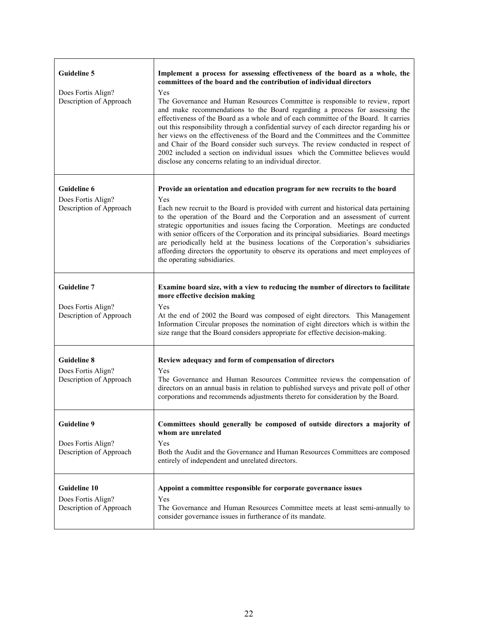| <b>Guideline 5</b><br>Does Fortis Align?<br>Description of Approach | Implement a process for assessing effectiveness of the board as a whole, the<br>committees of the board and the contribution of individual directors<br>Yes<br>The Governance and Human Resources Committee is responsible to review, report<br>and make recommendations to the Board regarding a process for assessing the<br>effectiveness of the Board as a whole and of each committee of the Board. It carries<br>out this responsibility through a confidential survey of each director regarding his or<br>her views on the effectiveness of the Board and the Committees and the Committee<br>and Chair of the Board consider such surveys. The review conducted in respect of<br>2002 included a section on individual issues which the Committee believes would<br>disclose any concerns relating to an individual director. |
|---------------------------------------------------------------------|----------------------------------------------------------------------------------------------------------------------------------------------------------------------------------------------------------------------------------------------------------------------------------------------------------------------------------------------------------------------------------------------------------------------------------------------------------------------------------------------------------------------------------------------------------------------------------------------------------------------------------------------------------------------------------------------------------------------------------------------------------------------------------------------------------------------------------------|
| <b>Guideline 6</b><br>Does Fortis Align?<br>Description of Approach | Provide an orientation and education program for new recruits to the board<br>Yes<br>Each new recruit to the Board is provided with current and historical data pertaining<br>to the operation of the Board and the Corporation and an assessment of current<br>strategic opportunities and issues facing the Corporation. Meetings are conducted<br>with senior officers of the Corporation and its principal subsidiaries. Board meetings<br>are periodically held at the business locations of the Corporation's subsidiaries<br>affording directors the opportunity to observe its operations and meet employees of<br>the operating subsidiaries.                                                                                                                                                                                 |
| <b>Guideline 7</b><br>Does Fortis Align?<br>Description of Approach | Examine board size, with a view to reducing the number of directors to facilitate<br>more effective decision making<br>Yes<br>At the end of 2002 the Board was composed of eight directors. This Management<br>Information Circular proposes the nomination of eight directors which is within the<br>size range that the Board considers appropriate for effective decision-making.                                                                                                                                                                                                                                                                                                                                                                                                                                                   |
| <b>Guideline 8</b><br>Does Fortis Align?<br>Description of Approach | Review adequacy and form of compensation of directors<br>Yes<br>The Governance and Human Resources Committee reviews the compensation of<br>directors on an annual basis in relation to published surveys and private poll of other<br>corporations and recommends adjustments thereto for consideration by the Board.                                                                                                                                                                                                                                                                                                                                                                                                                                                                                                                 |
| <b>Guideline 9</b><br>Does Fortis Align?<br>Description of Approach | Committees should generally be composed of outside directors a majority of<br>whom are unrelated<br>Yes<br>Both the Audit and the Governance and Human Resources Committees are composed<br>entirely of independent and unrelated directors.                                                                                                                                                                                                                                                                                                                                                                                                                                                                                                                                                                                           |
| Guideline 10<br>Does Fortis Align?<br>Description of Approach       | Appoint a committee responsible for corporate governance issues<br>Yes<br>The Governance and Human Resources Committee meets at least semi-annually to<br>consider governance issues in furtherance of its mandate.                                                                                                                                                                                                                                                                                                                                                                                                                                                                                                                                                                                                                    |